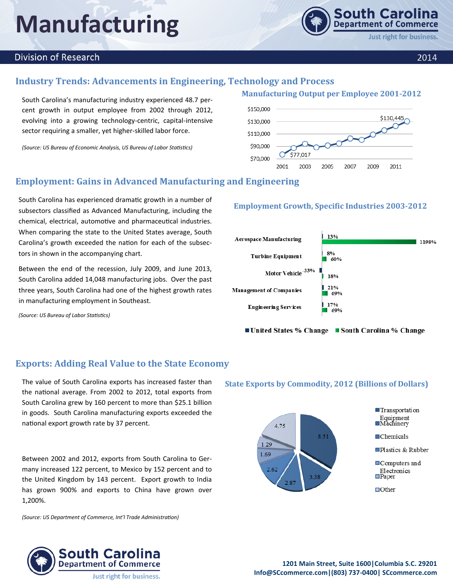# **Manufacturing**

### **Division of Research**

### **Industry Trends: Advancements in Engineering, Technology and Process**

South Carolina's manufacturing industry experienced 48.7 percent growth in output employee from 2002 through 2012, evolving into a growing technology-centric, capital-intensive sector requiring a smaller, yet higher-skilled labor force.

*(Source: US Bureau of Economic Analysis, US Bureau of Labor Statistics)*



## **Employment: Gains in Advanced Manufacturing and Engineering**

South Carolina has experienced dramatic growth in a number of subsectors classified as Advanced Manufacturing, including the chemical, electrical, automotive and pharmaceutical industries. When comparing the state to the United States average, South Carolina's growth exceeded the nation for each of the subsectors in shown in the accompanying chart.

Between the end of the recession, July 2009, and June 2013, South Carolina added 14,048 manufacturing jobs. Over the past three years, South Carolina had one of the highest growth rates in manufacturing employment in Southeast.

*(Source: US Bureau of Labor Statistics)* 

## **Exports: Adding Real Value to the State Economy**

The value of South Carolina exports has increased faster than the national average. From 2002 to 2012, total exports from South Carolina grew by 160 percent to more than \$25.1 billion in goods. South Carolina manufacturing exports exceeded the national export growth rate by 37 percent.

Between 2002 and 2012, exports from South Carolina to Germany increased 122 percent, to Mexico by 152 percent and to the United Kingdom by 143 percent. Export growth to India has grown 900% and exports to China have grown over 1,200%.

*(Source: US Department of Commerce, Int'l Trade Administration)*

### South Carolina **Department of Commerce Just right for business.**

### **Employment Growth, Specific Industries 2003-2012**



■ United States % Change ■ South Carolina % Change

### **State Exports by Commodity, 2012 (Billions of Dollars)**



**1201 Main Street, Suite 1600|Columbia S.C. 29201 Info@SCcommerce.com|(803) 737-0400| SCcommerce.com**

## **Manufacturing Output per Employee 2001-2012**

**Just right for business.** 

**South Carolina Department of Commerce**